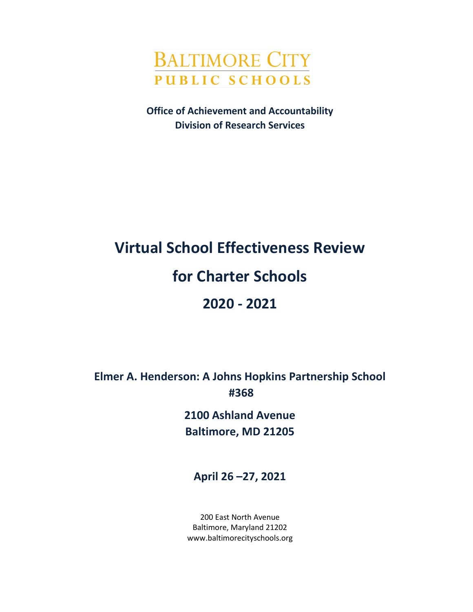

**Office of Achievement and Accountability Division of Research Services**

# **Virtual School Effectiveness Review for Charter Schools 2020 - 2021**

**Elmer A. Henderson: A Johns Hopkins Partnership School #368**

> **2100 Ashland Avenue Baltimore, MD 21205**

**April 26 –27, 2021**

200 East North Avenue Baltimore, Maryland 21202 www.baltimorecityschools.org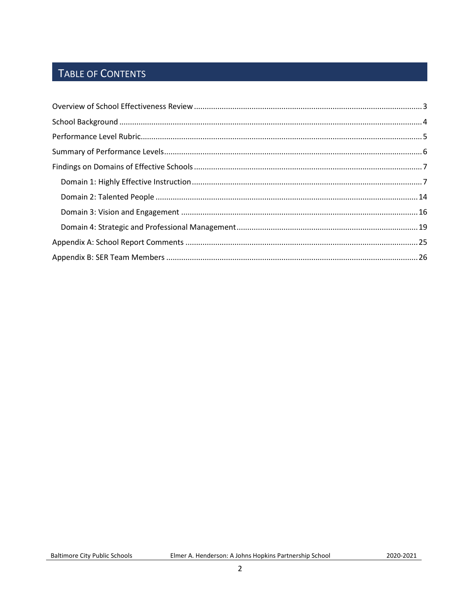# TABLE OF CONTENTS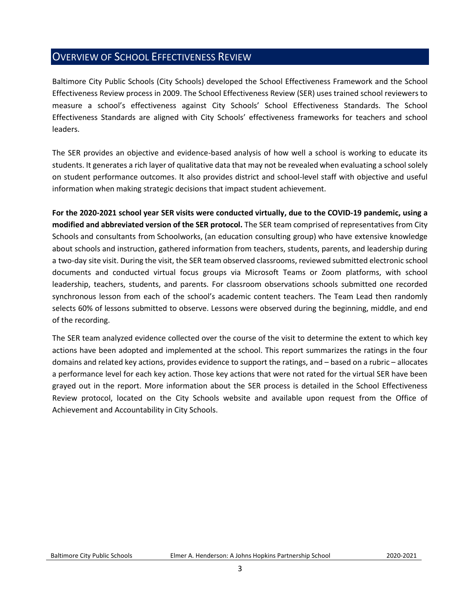## <span id="page-2-0"></span>OVERVIEW OF SCHOOL EFFECTIVENESS REVIEW

Baltimore City Public Schools (City Schools) developed the School Effectiveness Framework and the School Effectiveness Review process in 2009. The School Effectiveness Review (SER) uses trained school reviewers to measure a school's effectiveness against City Schools' School Effectiveness Standards. The School Effectiveness Standards are aligned with City Schools' effectiveness frameworks for teachers and school leaders.

The SER provides an objective and evidence-based analysis of how well a school is working to educate its students. It generates a rich layer of qualitative data that may not be revealed when evaluating a school solely on student performance outcomes. It also provides district and school-level staff with objective and useful information when making strategic decisions that impact student achievement.

**For the 2020-2021 school year SER visits were conducted virtually, due to the COVID-19 pandemic, using a modified and abbreviated version of the SER protocol.** The SER team comprised of representatives from City Schools and consultants from Schoolworks, (an education consulting group) who have extensive knowledge about schools and instruction, gathered information from teachers, students, parents, and leadership during a two-day site visit. During the visit, the SER team observed classrooms, reviewed submitted electronic school documents and conducted virtual focus groups via Microsoft Teams or Zoom platforms, with school leadership, teachers, students, and parents. For classroom observations schools submitted one recorded synchronous lesson from each of the school's academic content teachers. The Team Lead then randomly selects 60% of lessons submitted to observe. Lessons were observed during the beginning, middle, and end of the recording.

The SER team analyzed evidence collected over the course of the visit to determine the extent to which key actions have been adopted and implemented at the school. This report summarizes the ratings in the four domains and related key actions, provides evidence to support the ratings, and – based on a rubric – allocates a performance level for each key action. Those key actions that were not rated for the virtual SER have been grayed out in the report. More information about the SER process is detailed in the School Effectiveness Review protocol, located on the City Schools website and available upon request from the Office of Achievement and Accountability in City Schools.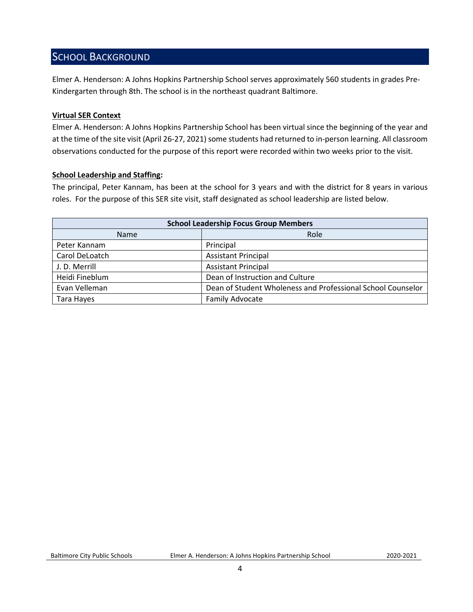## <span id="page-3-0"></span>SCHOOL BACKGROUND

Elmer A. Henderson: A Johns Hopkins Partnership School serves approximately 560 students in grades Pre-Kindergarten through 8th. The school is in the northeast quadrant Baltimore.

#### **Virtual SER Context**

Elmer A. Henderson: A Johns Hopkins Partnership School has been virtual since the beginning of the year and at the time of the site visit (April 26-27, 2021) some students had returned to in-person learning. All classroom observations conducted for the purpose of this report were recorded within two weeks prior to the visit.

#### **School Leadership and Staffing:**

The principal, Peter Kannam, has been at the school for 3 years and with the district for 8 years in various roles. For the purpose of this SER site visit, staff designated as school leadership are listed below.

<span id="page-3-1"></span>

| <b>School Leadership Focus Group Members</b> |                                                             |  |  |
|----------------------------------------------|-------------------------------------------------------------|--|--|
| Name                                         | Role                                                        |  |  |
| Peter Kannam                                 | Principal                                                   |  |  |
| Carol DeLoatch                               | <b>Assistant Principal</b>                                  |  |  |
| J. D. Merrill                                | <b>Assistant Principal</b>                                  |  |  |
| Heidi Fineblum                               | Dean of Instruction and Culture                             |  |  |
| Evan Velleman                                | Dean of Student Wholeness and Professional School Counselor |  |  |
| Tara Hayes                                   | <b>Family Advocate</b>                                      |  |  |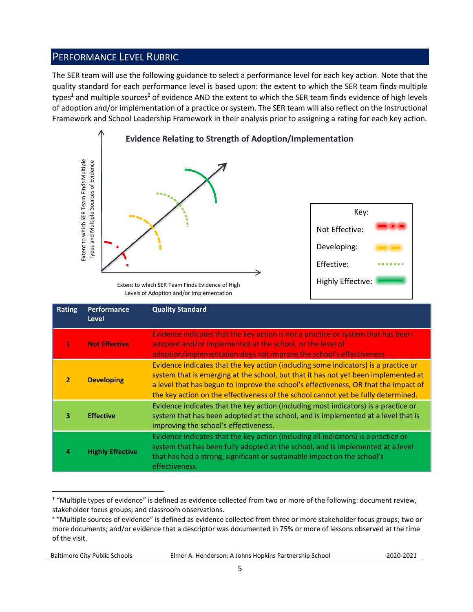## PERFORMANCE LEVEL RUBRIC

The SER team will use the following guidance to select a performance level for each key action. Note that the quality standard for each performance level is based upon: the extent to which the SER team finds multiple types<sup>1</sup> and multiple sources<sup>2</sup> of evidence AND the extent to which the SER team finds evidence of high levels of adoption and/or implementation of a practice or system. The SER team will also reflect on the Instructional Framework and School Leadership Framework in their analysis prior to assigning a rating for each key action.



Levels of Adoption and/or Implementation

|                | Extent to which SER Team Finds Multiple<br>Types and Multiple Sources of Evidence                                                                                                                                                             | Extent to which SER Team Finds Evidence of High<br>Levels of Adoption and/or Implementation                                                                                                                                                                                                                                                                                                                                                    | Key:<br>Not Effective:<br>Developing:<br>Effective:<br><b>Highly Effective:</b> |  |
|----------------|-----------------------------------------------------------------------------------------------------------------------------------------------------------------------------------------------------------------------------------------------|------------------------------------------------------------------------------------------------------------------------------------------------------------------------------------------------------------------------------------------------------------------------------------------------------------------------------------------------------------------------------------------------------------------------------------------------|---------------------------------------------------------------------------------|--|
| <b>Rating</b>  | Performance<br><b>Level</b>                                                                                                                                                                                                                   | <b>Quality Standard</b>                                                                                                                                                                                                                                                                                                                                                                                                                        |                                                                                 |  |
| 1              | Evidence indicates that the key action is not a practice or system that has been<br><b>Not Effective</b><br>adopted and/or implemented at the school, or the level of<br>adoption/implementation does not improve the school's effectiveness. |                                                                                                                                                                                                                                                                                                                                                                                                                                                |                                                                                 |  |
| $\overline{2}$ | <b>Developing</b>                                                                                                                                                                                                                             | Evidence indicates that the key action (including some indicators) is a practice or<br>system that is emerging at the school, but that it has not yet been implemented at<br>a level that has begun to improve the school's effectiveness, OR that the impact of<br>the key action on the effectiveness of the school cannot yet be fully determined.                                                                                          |                                                                                 |  |
| з              | <b>Effective</b>                                                                                                                                                                                                                              | Evidence indicates that the key action (including most indicators) is a practice or<br>system that has been adopted at the school, and is implemented at a level that is<br>improving the school's effectiveness.                                                                                                                                                                                                                              |                                                                                 |  |
| 4              | <b>Highly Effective</b>                                                                                                                                                                                                                       | Evidence indicates that the key action (including all indicators) is a practice or<br>system that has been fully adopted at the school, and is implemented at a level<br>that has had a strong, significant or sustainable impact on the school's<br>effectiveness.                                                                                                                                                                            |                                                                                 |  |
| of the visit.  |                                                                                                                                                                                                                                               | <sup>1</sup> "Multiple types of evidence" is defined as evidence collected from two or more of the following: document review,<br>stakeholder focus groups; and classroom observations.<br><sup>2</sup> "Multiple sources of evidence" is defined as evidence collected from three or more stakeholder focus groups; two or<br>more documents; and/or evidence that a descriptor was documented in 75% or more of lessons observed at the time |                                                                                 |  |

 $1$  "Multiple types of evidence" is defined as evidence collected from two or more of the following: document review, stakeholder focus groups; and classroom observations.

Baltimore City Public Schools Elmer A. Henderson: A Johns Hopkins Partnership School2020-2021

<sup>&</sup>lt;sup>2</sup> "Multiple sources of evidence" is defined as evidence collected from three or more stakeholder focus groups; two or more documents; and/or evidence that a descriptor was documented in 75% or more of lessons observed at the time of the visit.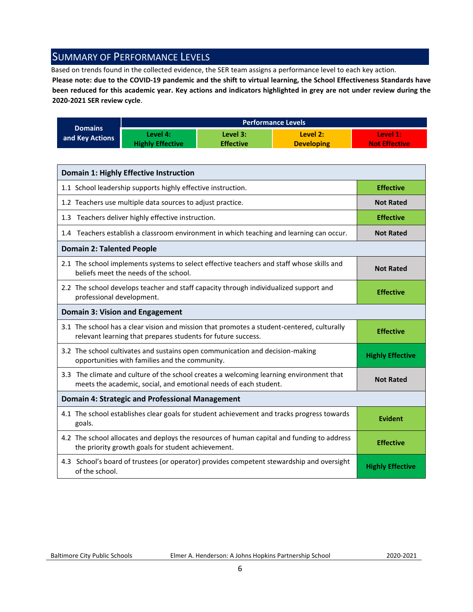## <span id="page-5-0"></span>SUMMARY OF PERFORMANCE LEVELS

Based on trends found in the collected evidence, the SER team assigns a performance level to each key action.

**Please note: due to the COVID-19 pandemic and the shift to virtual learning, the School Effectiveness Standards have been reduced for this academic year. Key actions and indicators highlighted in grey are not under review during the 2020-2021 SER review cycle**.

|                 |                         |                  | <b>Performance Levels</b> |                      |
|-----------------|-------------------------|------------------|---------------------------|----------------------|
| <b>Domains</b>  | Level 4:                | Level 3:         | Level 2:                  | Level 1:             |
| and Key Actions | <b>Highly Effective</b> | <b>Effective</b> | <b>Developing</b>         | <b>Not Effective</b> |

| <b>Domain 1: Highly Effective Instruction</b>                                                                                                               |                         |
|-------------------------------------------------------------------------------------------------------------------------------------------------------------|-------------------------|
| 1.1 School leadership supports highly effective instruction.                                                                                                | <b>Effective</b>        |
| 1.2 Teachers use multiple data sources to adjust practice.                                                                                                  | <b>Not Rated</b>        |
| 1.3 Teachers deliver highly effective instruction.                                                                                                          | <b>Effective</b>        |
| 1.4 Teachers establish a classroom environment in which teaching and learning can occur.                                                                    | <b>Not Rated</b>        |
| <b>Domain 2: Talented People</b>                                                                                                                            |                         |
| 2.1 The school implements systems to select effective teachers and staff whose skills and<br>beliefs meet the needs of the school.                          | <b>Not Rated</b>        |
| 2.2 The school develops teacher and staff capacity through individualized support and<br>professional development.                                          | <b>Effective</b>        |
| <b>Domain 3: Vision and Engagement</b>                                                                                                                      |                         |
| 3.1 The school has a clear vision and mission that promotes a student-centered, culturally<br>relevant learning that prepares students for future success.  | <b>Effective</b>        |
| 3.2 The school cultivates and sustains open communication and decision-making<br>opportunities with families and the community.                             | <b>Highly Effective</b> |
| 3.3 The climate and culture of the school creates a welcoming learning environment that<br>meets the academic, social, and emotional needs of each student. | <b>Not Rated</b>        |
| Domain 4: Strategic and Professional Management                                                                                                             |                         |
| 4.1 The school establishes clear goals for student achievement and tracks progress towards<br>goals.                                                        | <b>Evident</b>          |
| 4.2 The school allocates and deploys the resources of human capital and funding to address<br>the priority growth goals for student achievement.            | <b>Effective</b>        |
| 4.3 School's board of trustees (or operator) provides competent stewardship and oversight<br>of the school.                                                 | <b>Highly Effective</b> |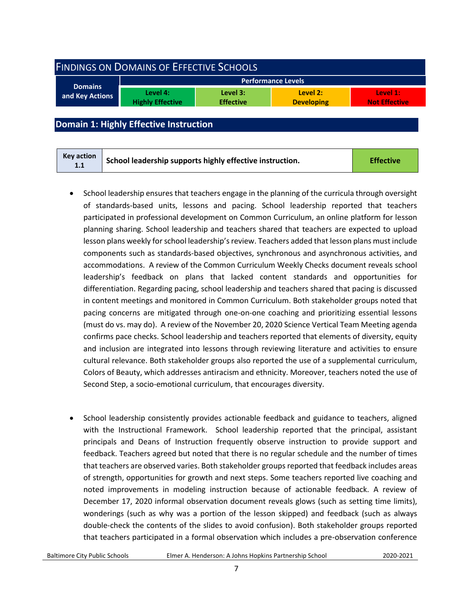<span id="page-6-0"></span>

| <b>FINDINGS ON DOMAINS OF EFFECTIVE SCHOOLS</b> |                                     |                              |                               |                                  |
|-------------------------------------------------|-------------------------------------|------------------------------|-------------------------------|----------------------------------|
| <b>Performance Levels</b>                       |                                     |                              |                               |                                  |
| <b>Domains</b><br>and Key Actions               | Level 4:<br><b>Highly Effective</b> | Level 3:<br><b>Effective</b> | Level 2:<br><b>Developing</b> | Level 1:<br><b>Not Effective</b> |
|                                                 |                                     |                              |                               |                                  |

<span id="page-6-1"></span>**Domain 1: Highly Effective Instruction**

- School leadership ensures that teachers engage in the planning of the curricula through oversight of standards-based units, lessons and pacing. School leadership reported that teachers participated in professional development on Common Curriculum, an online platform for lesson planning sharing. School leadership and teachers shared that teachers are expected to upload lesson plans weekly for school leadership's review. Teachers added that lesson plans must include components such as standards-based objectives, synchronous and asynchronous activities, and accommodations. A review of the Common Curriculum Weekly Checks document reveals school leadership's feedback on plans that lacked content standards and opportunities for differentiation. Regarding pacing, school leadership and teachers shared that pacing is discussed in content meetings and monitored in Common Curriculum. Both stakeholder groups noted that pacing concerns are mitigated through one-on-one coaching and prioritizing essential lessons (must do vs. may do). A review of the November 20, 2020 Science Vertical Team Meeting agenda confirms pace checks. School leadership and teachers reported that elements of diversity, equity and inclusion are integrated into lessons through reviewing literature and activities to ensure cultural relevance. Both stakeholder groups also reported the use of a supplemental curriculum, Colors of Beauty, which addresses antiracism and ethnicity. Moreover, teachers noted the use of Second Step, a socio-emotional curriculum, that encourages diversity.
- School leadership consistently provides actionable feedback and guidance to teachers, aligned with the Instructional Framework. School leadership reported that the principal, assistant principals and Deans of Instruction frequently observe instruction to provide support and feedback. Teachers agreed but noted that there is no regular schedule and the number of times that teachers are observed varies. Both stakeholder groups reported that feedback includes areas of strength, opportunities for growth and next steps. Some teachers reported live coaching and noted improvements in modeling instruction because of actionable feedback. A review of December 17, 2020 informal observation document reveals glows (such as setting time limits), wonderings (such as why was a portion of the lesson skipped) and feedback (such as always double-check the contents of the slides to avoid confusion). Both stakeholder groups reported that teachers participated in a formal observation which includes a pre-observation conference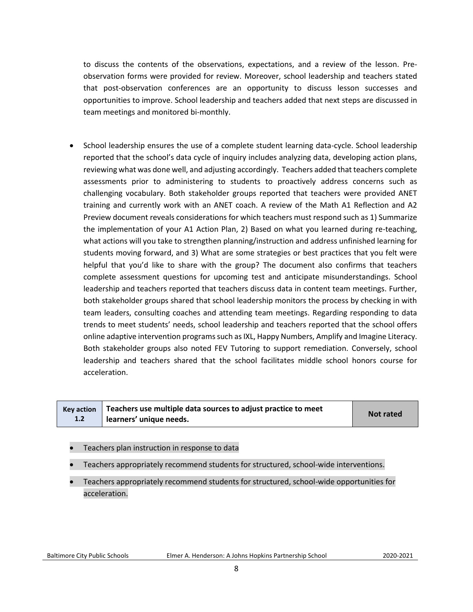to discuss the contents of the observations, expectations, and a review of the lesson. Preobservation forms were provided for review. Moreover, school leadership and teachers stated that post-observation conferences are an opportunity to discuss lesson successes and opportunities to improve. School leadership and teachers added that next steps are discussed in team meetings and monitored bi-monthly.

• School leadership ensures the use of a complete student learning data-cycle. School leadership reported that the school's data cycle of inquiry includes analyzing data, developing action plans, reviewing what was done well, and adjusting accordingly. Teachers added that teachers complete assessments prior to administering to students to proactively address concerns such as challenging vocabulary. Both stakeholder groups reported that teachers were provided ANET training and currently work with an ANET coach. A review of the Math A1 Reflection and A2 Preview document reveals considerations for which teachers must respond such as 1) Summarize the implementation of your A1 Action Plan, 2) Based on what you learned during re-teaching, what actions will you take to strengthen planning/instruction and address unfinished learning for students moving forward, and 3) What are some strategies or best practices that you felt were helpful that you'd like to share with the group? The document also confirms that teachers complete assessment questions for upcoming test and anticipate misunderstandings. School leadership and teachers reported that teachers discuss data in content team meetings. Further, both stakeholder groups shared that school leadership monitors the process by checking in with team leaders, consulting coaches and attending team meetings. Regarding responding to data trends to meet students' needs, school leadership and teachers reported that the school offers online adaptive intervention programs such as IXL, Happy Numbers, Amplify and Imagine Literacy. Both stakeholder groups also noted FEV Tutoring to support remediation. Conversely, school leadership and teachers shared that the school facilitates middle school honors course for acceleration.

|     | Key action $\vert$ Teachers use multiple data sources to adjust practice to meet | <b>Not rated</b> |
|-----|----------------------------------------------------------------------------------|------------------|
| 1.2 | learners' unique needs.                                                          |                  |

- Teachers plan instruction in response to data
- Teachers appropriately recommend students for structured, school-wide interventions.
- Teachers appropriately recommend students for structured, school-wide opportunities for acceleration.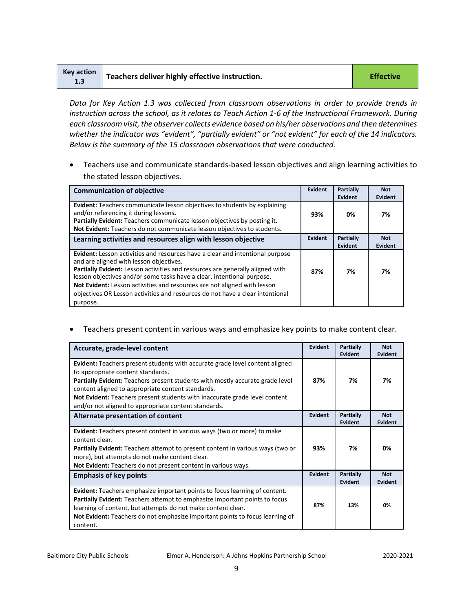| Key action<br>1.3 | Teachers deliver highly effective instruction. | <b>Effective</b> |
|-------------------|------------------------------------------------|------------------|
|-------------------|------------------------------------------------|------------------|

*Data for Key Action 1.3 was collected from classroom observations in order to provide trends in instruction across the school, as it relates to Teach Action 1-6 of the Instructional Framework. During each classroom visit, the observer collects evidence based on his/her observations and then determines*  whether the indicator was "evident", "partially evident" or "not evident" for each of the 14 indicators. *Below is the summary of the 15 classroom observations that were conducted.* 

• Teachers use and communicate standards-based lesson objectives and align learning activities to the stated lesson objectives.

| <b>Communication of objective</b>                                                                                                                                                                                                                                                                                                                                                                                                                            | Evident        | Partially<br>Evident        | <b>Not</b><br>Evident |
|--------------------------------------------------------------------------------------------------------------------------------------------------------------------------------------------------------------------------------------------------------------------------------------------------------------------------------------------------------------------------------------------------------------------------------------------------------------|----------------|-----------------------------|-----------------------|
| <b>Evident:</b> Teachers communicate lesson objectives to students by explaining<br>and/or referencing it during lessons.<br>Partially Evident: Teachers communicate lesson objectives by posting it.<br>Not Evident: Teachers do not communicate lesson objectives to students.                                                                                                                                                                             | 93%            | 0%                          | 7%                    |
| Learning activities and resources align with lesson objective                                                                                                                                                                                                                                                                                                                                                                                                | <b>Evident</b> | Partially<br><b>Evident</b> | <b>Not</b><br>Evident |
| Evident: Lesson activities and resources have a clear and intentional purpose<br>and are aligned with lesson objectives.<br>Partially Evident: Lesson activities and resources are generally aligned with<br>lesson objectives and/or some tasks have a clear, intentional purpose.<br>Not Evident: Lesson activities and resources are not aligned with lesson<br>objectives OR Lesson activities and resources do not have a clear intentional<br>purpose. | 87%            | 7%                          | 7%                    |

• Teachers present content in various ways and emphasize key points to make content clear.

| Accurate, grade-level content                                                                                                                                                                                                                                                                                                                                                                               | Evident | Partially<br>Evident        | <b>Not</b><br>Evident |
|-------------------------------------------------------------------------------------------------------------------------------------------------------------------------------------------------------------------------------------------------------------------------------------------------------------------------------------------------------------------------------------------------------------|---------|-----------------------------|-----------------------|
| <b>Evident:</b> Teachers present students with accurate grade level content aligned<br>to appropriate content standards.<br>Partially Evident: Teachers present students with mostly accurate grade level<br>content aligned to appropriate content standards.<br><b>Not Evident:</b> Teachers present students with inaccurate grade level content<br>and/or not aligned to appropriate content standards. | 87%     | 7%                          | 7%                    |
| Alternate presentation of content                                                                                                                                                                                                                                                                                                                                                                           | Evident | Partially<br>Evident        | <b>Not</b><br>Evident |
| <b>Evident:</b> Teachers present content in various ways (two or more) to make<br>content clear.<br><b>Partially Evident:</b> Teachers attempt to present content in various ways (two or<br>more), but attempts do not make content clear.<br>Not Evident: Teachers do not present content in various ways.                                                                                                | 93%     | 7%                          | 0%                    |
| <b>Emphasis of key points</b>                                                                                                                                                                                                                                                                                                                                                                               | Evident | <b>Partially</b><br>Evident | <b>Not</b><br>Evident |
| <b>Evident:</b> Teachers emphasize important points to focus learning of content.<br><b>Partially Evident:</b> Teachers attempt to emphasize important points to focus<br>learning of content, but attempts do not make content clear.<br>Not Evident: Teachers do not emphasize important points to focus learning of<br>content.                                                                          | 87%     | 13%                         | 0%                    |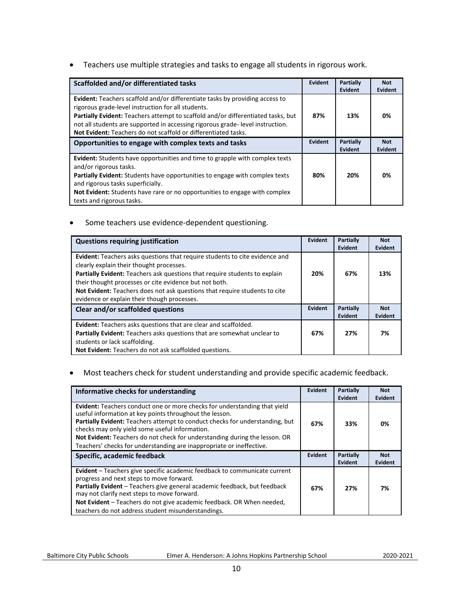• Teachers use multiple strategies and tasks to engage all students in rigorous work.

| Scaffolded and/or differentiated tasks                                                                                                                                                                                                                                                                                                                                                         | <b>Evident</b> | <b>Partially</b><br><b>Evident</b> | <b>Not</b><br>Evident        |
|------------------------------------------------------------------------------------------------------------------------------------------------------------------------------------------------------------------------------------------------------------------------------------------------------------------------------------------------------------------------------------------------|----------------|------------------------------------|------------------------------|
| <b>Evident:</b> Teachers scaffold and/or differentiate tasks by providing access to<br>rigorous grade-level instruction for all students.<br><b>Partially Evident:</b> Teachers attempt to scaffold and/or differentiated tasks, but<br>not all students are supported in accessing rigorous grade-level instruction.<br><b>Not Evident:</b> Teachers do not scaffold or differentiated tasks. | 87%            | 13%                                | 0%                           |
| Opportunities to engage with complex texts and tasks                                                                                                                                                                                                                                                                                                                                           | <b>Evident</b> | <b>Partially</b><br><b>Evident</b> | <b>Not</b><br><b>Evident</b> |
| Evident: Students have opportunities and time to grapple with complex texts<br>and/or rigorous tasks.<br><b>Partially Evident:</b> Students have opportunities to engage with complex texts<br>and rigorous tasks superficially.<br><b>Not Evident:</b> Students have rare or no opportunities to engage with complex<br>texts and rigorous tasks.                                             | 80%            | 20%                                | 0%                           |

• Some teachers use evidence-dependent questioning.

| <b>Questions requiring justification</b>                                                                                                                                                                                                                                                                                                                                                            | Evident | Partially<br>Evident | <b>Not</b><br><b>Evident</b> |
|-----------------------------------------------------------------------------------------------------------------------------------------------------------------------------------------------------------------------------------------------------------------------------------------------------------------------------------------------------------------------------------------------------|---------|----------------------|------------------------------|
| <b>Evident:</b> Teachers asks questions that require students to cite evidence and<br>clearly explain their thought processes.<br>Partially Evident: Teachers ask questions that require students to explain<br>their thought processes or cite evidence but not both.<br>Not Evident: Teachers does not ask questions that require students to cite<br>evidence or explain their though processes. | 20%     | 67%                  | 13%                          |
| Clear and/or scaffolded questions                                                                                                                                                                                                                                                                                                                                                                   | Evident | Partially<br>Evident | <b>Not</b><br>Evident        |
| <b>Evident:</b> Teachers asks questions that are clear and scaffolded.<br>Partially Evident: Teachers asks questions that are somewhat unclear to<br>students or lack scaffolding.<br>Not Evident: Teachers do not ask scaffolded questions.                                                                                                                                                        | 67%     | 27%                  | 7%                           |

• Most teachers check for student understanding and provide specific academic feedback.

| Informative checks for understanding                                                                                                                                                                                                                                                                                                                                                                                         | Evident | Partially<br>Evident | <b>Not</b><br><b>Evident</b> |
|------------------------------------------------------------------------------------------------------------------------------------------------------------------------------------------------------------------------------------------------------------------------------------------------------------------------------------------------------------------------------------------------------------------------------|---------|----------------------|------------------------------|
| Evident: Teachers conduct one or more checks for understanding that yield<br>useful information at key points throughout the lesson.<br>Partially Evident: Teachers attempt to conduct checks for understanding, but<br>checks may only yield some useful information.<br>Not Evident: Teachers do not check for understanding during the lesson. OR<br>Teachers' checks for understanding are inappropriate or ineffective. | 67%     | 33%                  | 0%                           |
| Specific, academic feedback                                                                                                                                                                                                                                                                                                                                                                                                  | Evident | Partially<br>Evident | <b>Not</b><br>Evident        |
| Evident - Teachers give specific academic feedback to communicate current<br>progress and next steps to move forward.<br>Partially Evident - Teachers give general academic feedback, but feedback<br>may not clarify next steps to move forward.<br>Not Evident - Teachers do not give academic feedback. OR When needed,<br>teachers do not address student misunderstandings.                                             | 67%     | 27%                  | 7%                           |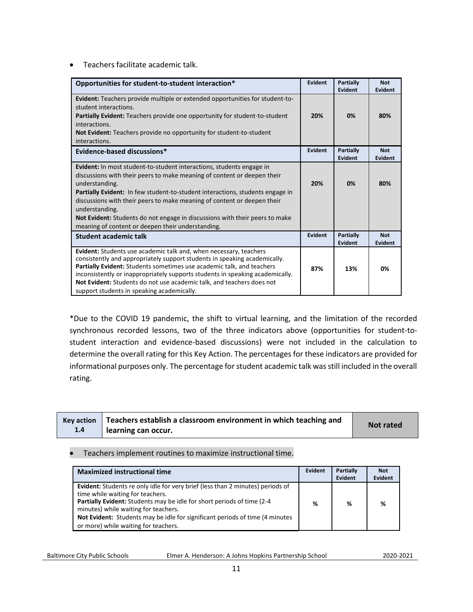• Teachers facilitate academic talk.

| Opportunities for student-to-student interaction*                                                                                                                                                                                                                                                                                                                                                                                                                                                 | Evident        | Partially<br><b>Evident</b> | <b>Not</b><br><b>Evident</b> |
|---------------------------------------------------------------------------------------------------------------------------------------------------------------------------------------------------------------------------------------------------------------------------------------------------------------------------------------------------------------------------------------------------------------------------------------------------------------------------------------------------|----------------|-----------------------------|------------------------------|
| <b>Evident:</b> Teachers provide multiple or extended opportunities for student-to-<br>student interactions.<br><b>Partially Evident:</b> Teachers provide one opportunity for student-to-student<br>interactions.<br><b>Not Evident:</b> Teachers provide no opportunity for student-to-student<br>interactions.                                                                                                                                                                                 | 20%            | 0%                          | 80%                          |
| Evidence-based discussions*                                                                                                                                                                                                                                                                                                                                                                                                                                                                       | <b>Evident</b> | Partially<br>Evident        | <b>Not</b><br><b>Evident</b> |
| <b>Evident:</b> In most student-to-student interactions, students engage in<br>discussions with their peers to make meaning of content or deepen their<br>understanding.<br>Partially Evident: In few student-to-student interactions, students engage in<br>discussions with their peers to make meaning of content or deepen their<br>understanding.<br><b>Not Evident:</b> Students do not engage in discussions with their peers to make<br>meaning of content or deepen their understanding. | 20%            | 0%                          | 80%                          |
| Student academic talk                                                                                                                                                                                                                                                                                                                                                                                                                                                                             | Evident        | <b>Partially</b><br>Evident | <b>Not</b><br>Evident        |
| Evident: Students use academic talk and, when necessary, teachers<br>consistently and appropriately support students in speaking academically.<br>Partially Evident: Students sometimes use academic talk, and teachers<br>inconsistently or inappropriately supports students in speaking academically.<br>Not Evident: Students do not use academic talk, and teachers does not<br>support students in speaking academically.                                                                   | 87%            | 13%                         | 0%                           |

\*Due to the COVID 19 pandemic, the shift to virtual learning, and the limitation of the recorded synchronous recorded lessons, two of the three indicators above (opportunities for student-tostudent interaction and evidence-based discussions) were not included in the calculation to determine the overall rating for this Key Action. The percentages for these indicators are provided for informational purposes only. The percentage for student academic talk was still included in the overall rating.

|     | $Key$ action $\parallel$ Teachers establish a classroom environment in which teaching and |                  |
|-----|-------------------------------------------------------------------------------------------|------------------|
| 1.4 | learning can occur.                                                                       | <b>Not rated</b> |

#### • Teachers implement routines to maximize instructional time.

| <b>Maximized instructional time</b>                                                   | Evident | Partially | <b>Not</b> |
|---------------------------------------------------------------------------------------|---------|-----------|------------|
|                                                                                       |         | Evident   | Evident    |
| <b>Evident:</b> Students re only idle for very brief (less than 2 minutes) periods of |         |           |            |
| time while waiting for teachers.                                                      |         |           |            |
| <b>Partially Evident:</b> Students may be idle for short periods of time (2-4)        | %       | ℅         | %          |
| minutes) while waiting for teachers.                                                  |         |           |            |
| Not Evident: Students may be idle for significant periods of time (4 minutes)         |         |           |            |
| or more) while waiting for teachers.                                                  |         |           |            |

Baltimore City Public Schools Elmer A. Henderson: A Johns Hopkins Partnership School2020-2021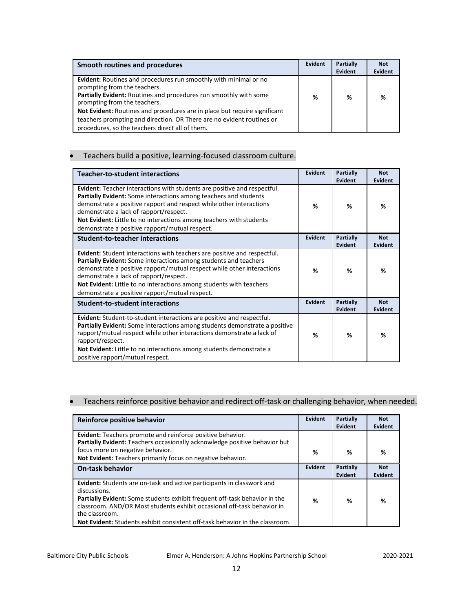| Smooth routines and procedures                                                                                                                                                                                                                                                                                                                                                                                        | Evident | <b>Partially</b><br>Evident | <b>Not</b><br>Evident |
|-----------------------------------------------------------------------------------------------------------------------------------------------------------------------------------------------------------------------------------------------------------------------------------------------------------------------------------------------------------------------------------------------------------------------|---------|-----------------------------|-----------------------|
| <b>Evident:</b> Routines and procedures run smoothly with minimal or no<br>prompting from the teachers.<br>Partially Evident: Routines and procedures run smoothly with some<br>prompting from the teachers.<br>Not Evident: Routines and procedures are in place but require significant<br>teachers prompting and direction. OR There are no evident routines or<br>procedures, so the teachers direct all of them. | %       | %                           | ℅                     |

#### • Teachers build a positive, learning-focused classroom culture.

| <b>Teacher-to-student interactions</b>                                                                                                                                                                                                                                                                                                                                                           | <b>Evident</b> | Partially<br>Evident | <b>Not</b><br>Evident |
|--------------------------------------------------------------------------------------------------------------------------------------------------------------------------------------------------------------------------------------------------------------------------------------------------------------------------------------------------------------------------------------------------|----------------|----------------------|-----------------------|
| Evident: Teacher interactions with students are positive and respectful.<br>Partially Evident: Some interactions among teachers and students<br>demonstrate a positive rapport and respect while other interactions<br>demonstrate a lack of rapport/respect.<br>Not Evident: Little to no interactions among teachers with students<br>demonstrate a positive rapport/mutual respect.           | ℅              | %                    | %                     |
| <b>Student-to-teacher interactions</b>                                                                                                                                                                                                                                                                                                                                                           | Evident        | Partially<br>Evident | <b>Not</b><br>Evident |
| <b>Evident:</b> Student interactions with teachers are positive and respectful.<br>Partially Evident: Some interactions among students and teachers<br>demonstrate a positive rapport/mutual respect while other interactions<br>demonstrate a lack of rapport/respect.<br>Not Evident: Little to no interactions among students with teachers<br>demonstrate a positive rapport/mutual respect. | %              | %                    | %                     |
| <b>Student-to-student interactions</b>                                                                                                                                                                                                                                                                                                                                                           | Evident        | Partially<br>Evident | <b>Not</b><br>Evident |
| Evident: Student-to-student interactions are positive and respectful.<br><b>Partially Evident:</b> Some interactions among students demonstrate a positive<br>rapport/mutual respect while other interactions demonstrate a lack of<br>rapport/respect.<br><b>Not Evident:</b> Little to no interactions among students demonstrate a<br>positive rapport/mutual respect.                        | %              | %                    | %                     |

#### • Teachers reinforce positive behavior and redirect off-task or challenging behavior, when needed.

| Reinforce positive behavior                                                                                                                                                                                                                                                                                                                                            | Evident | Partially<br>Evident | <b>Not</b><br>Evident |
|------------------------------------------------------------------------------------------------------------------------------------------------------------------------------------------------------------------------------------------------------------------------------------------------------------------------------------------------------------------------|---------|----------------------|-----------------------|
| <b>Evident:</b> Teachers promote and reinforce positive behavior.<br>Partially Evident: Teachers occasionally acknowledge positive behavior but                                                                                                                                                                                                                        |         |                      |                       |
| focus more on negative behavior.<br>Not Evident: Teachers primarily focus on negative behavior.                                                                                                                                                                                                                                                                        | %       | %                    | %                     |
| <b>On-task behavior</b>                                                                                                                                                                                                                                                                                                                                                | Evident | Partially<br>Evident | <b>Not</b><br>Evident |
| <b>Evident:</b> Students are on-task and active participants in classwork and<br>discussions.<br><b>Partially Evident:</b> Some students exhibit frequent off-task behavior in the<br>classroom. AND/OR Most students exhibit occasional off-task behavior in<br>the classroom.<br><b>Not Evident:</b> Students exhibit consistent off-task behavior in the classroom. | ℅       | %                    | ℅                     |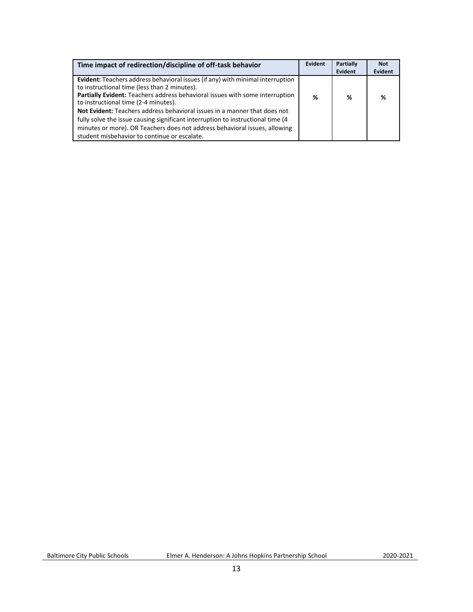| Time impact of redirection/discipline of off-task behavior                                                                                                                                                                                                                                                                                                                                                                                                                                                                                                   | Evident | <b>Partially</b><br>Evident | <b>Not</b><br>Evident |
|--------------------------------------------------------------------------------------------------------------------------------------------------------------------------------------------------------------------------------------------------------------------------------------------------------------------------------------------------------------------------------------------------------------------------------------------------------------------------------------------------------------------------------------------------------------|---------|-----------------------------|-----------------------|
| Evident: Teachers address behavioral issues (if any) with minimal interruption<br>to instructional time (less than 2 minutes).<br>Partially Evident: Teachers address behavioral issues with some interruption<br>to instructional time (2-4 minutes).<br><b>Not Evident:</b> Teachers address behavioral issues in a manner that does not<br>fully solve the issue causing significant interruption to instructional time (4)<br>minutes or more). OR Teachers does not address behavioral issues, allowing<br>student misbehavior to continue or escalate. | ℅       | %                           | ℅                     |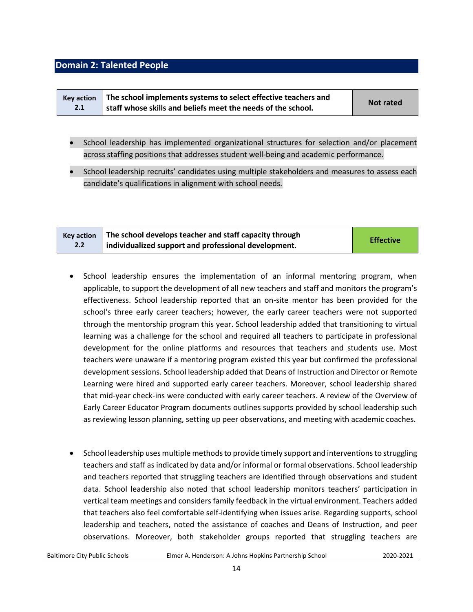#### <span id="page-13-0"></span>**Domain 2: Talented People**

| <b>Kev action</b> | The school implements systems to select effective teachers and | <b>Not rated</b> |
|-------------------|----------------------------------------------------------------|------------------|
| 2.1               | staff whose skills and beliefs meet the needs of the school.   |                  |

- School leadership has implemented organizational structures for selection and/or placement across staffing positions that addresses student well-being and academic performance.
- School leadership recruits' candidates using multiple stakeholders and measures to assess each candidate's qualifications in alignment with school needs.

| <b>Key action</b> | The school develops teacher and staff capacity through | <b>Effective</b> |
|-------------------|--------------------------------------------------------|------------------|
| 2.2               | individualized support and professional development.   |                  |

- School leadership ensures the implementation of an informal mentoring program, when applicable, to support the development of all new teachers and staff and monitors the program's effectiveness. School leadership reported that an on-site mentor has been provided for the school's three early career teachers; however, the early career teachers were not supported through the mentorship program this year. School leadership added that transitioning to virtual learning was a challenge for the school and required all teachers to participate in professional development for the online platforms and resources that teachers and students use. Most teachers were unaware if a mentoring program existed this year but confirmed the professional development sessions. School leadership added that Deans of Instruction and Director or Remote Learning were hired and supported early career teachers. Moreover, school leadership shared that mid-year check-ins were conducted with early career teachers. A review of the Overview of Early Career Educator Program documents outlines supports provided by school leadership such as reviewing lesson planning, setting up peer observations, and meeting with academic coaches.
- School leadership uses multiple methods to provide timely support and interventions to struggling teachers and staff as indicated by data and/or informal or formal observations. School leadership and teachers reported that struggling teachers are identified through observations and student data. School leadership also noted that school leadership monitors teachers' participation in vertical team meetings and considers family feedback in the virtual environment. Teachers added that teachers also feel comfortable self-identifying when issues arise. Regarding supports, school leadership and teachers, noted the assistance of coaches and Deans of Instruction, and peer observations. Moreover, both stakeholder groups reported that struggling teachers are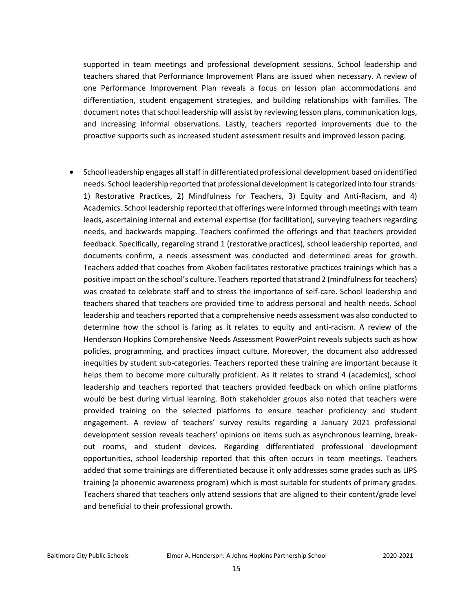supported in team meetings and professional development sessions. School leadership and teachers shared that Performance Improvement Plans are issued when necessary. A review of one Performance Improvement Plan reveals a focus on lesson plan accommodations and differentiation, student engagement strategies, and building relationships with families. The document notes that school leadership will assist by reviewing lesson plans, communication logs, and increasing informal observations. Lastly, teachers reported improvements due to the proactive supports such as increased student assessment results and improved lesson pacing.

• School leadership engages all staff in differentiated professional development based on identified needs. School leadership reported that professional development is categorized into four strands: 1) Restorative Practices, 2) Mindfulness for Teachers, 3) Equity and Anti-Racism, and 4) Academics. School leadership reported that offerings were informed through meetings with team leads, ascertaining internal and external expertise (for facilitation), surveying teachers regarding needs, and backwards mapping. Teachers confirmed the offerings and that teachers provided feedback. Specifically, regarding strand 1 (restorative practices), school leadership reported, and documents confirm, a needs assessment was conducted and determined areas for growth. Teachers added that coaches from Akoben facilitates restorative practices trainings which has a positive impact on the school's culture. Teachers reported that strand 2 (mindfulness for teachers) was created to celebrate staff and to stress the importance of self-care. School leadership and teachers shared that teachers are provided time to address personal and health needs. School leadership and teachers reported that a comprehensive needs assessment was also conducted to determine how the school is faring as it relates to equity and anti-racism. A review of the Henderson Hopkins Comprehensive Needs Assessment PowerPoint reveals subjects such as how policies, programming, and practices impact culture. Moreover, the document also addressed inequities by student sub-categories. Teachers reported these training are important because it helps them to become more culturally proficient. As it relates to strand 4 (academics), school leadership and teachers reported that teachers provided feedback on which online platforms would be best during virtual learning. Both stakeholder groups also noted that teachers were provided training on the selected platforms to ensure teacher proficiency and student engagement. A review of teachers' survey results regarding a January 2021 professional development session reveals teachers' opinions on items such as asynchronous learning, breakout rooms, and student devices. Regarding differentiated professional development opportunities, school leadership reported that this often occurs in team meetings. Teachers added that some trainings are differentiated because it only addresses some grades such as LIPS training (a phonemic awareness program) which is most suitable for students of primary grades. Teachers shared that teachers only attend sessions that are aligned to their content/grade level and beneficial to their professional growth.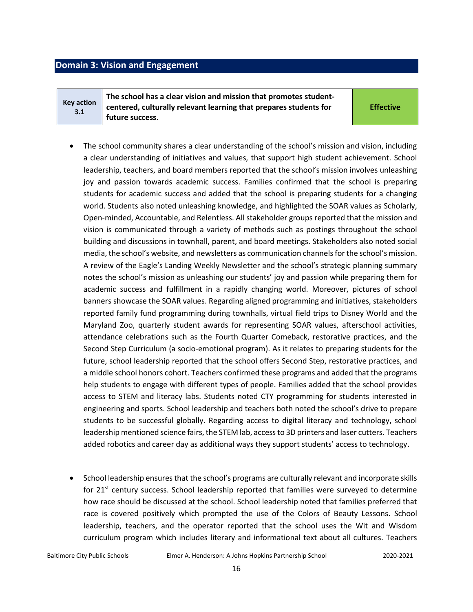#### <span id="page-15-0"></span>**Domain 3: Vision and Engagement**

**Key action 3.1**

**The school has a clear vision and mission that promotes studentcentered, culturally relevant learning that prepares students for future success.** 

**Effective**

- The school community shares a clear understanding of the school's mission and vision, including a clear understanding of initiatives and values, that support high student achievement. School leadership, teachers, and board members reported that the school's mission involves unleashing joy and passion towards academic success. Families confirmed that the school is preparing students for academic success and added that the school is preparing students for a changing world. Students also noted unleashing knowledge, and highlighted the SOAR values as Scholarly, Open-minded, Accountable, and Relentless. All stakeholder groups reported that the mission and vision is communicated through a variety of methods such as postings throughout the school building and discussions in townhall, parent, and board meetings. Stakeholders also noted social media, the school's website, and newsletters as communication channels for the school's mission. A review of the Eagle's Landing Weekly Newsletter and the school's strategic planning summary notes the school's mission as unleashing our students' joy and passion while preparing them for academic success and fulfillment in a rapidly changing world. Moreover, pictures of school banners showcase the SOAR values. Regarding aligned programming and initiatives, stakeholders reported family fund programming during townhalls, virtual field trips to Disney World and the Maryland Zoo, quarterly student awards for representing SOAR values, afterschool activities, attendance celebrations such as the Fourth Quarter Comeback, restorative practices, and the Second Step Curriculum (a socio-emotional program). As it relates to preparing students for the future, school leadership reported that the school offers Second Step, restorative practices, and a middle school honors cohort. Teachers confirmed these programs and added that the programs help students to engage with different types of people. Families added that the school provides access to STEM and literacy labs. Students noted CTY programming for students interested in engineering and sports. School leadership and teachers both noted the school's drive to prepare students to be successful globally. Regarding access to digital literacy and technology, school leadership mentioned science fairs, the STEM lab, access to 3D printers and laser cutters. Teachers added robotics and career day as additional ways they support students' access to technology.
- School leadership ensures that the school's programs are culturally relevant and incorporate skills for 21st century success. School leadership reported that families were surveyed to determine how race should be discussed at the school. School leadership noted that families preferred that race is covered positively which prompted the use of the Colors of Beauty Lessons. School leadership, teachers, and the operator reported that the school uses the Wit and Wisdom curriculum program which includes literary and informational text about all cultures. Teachers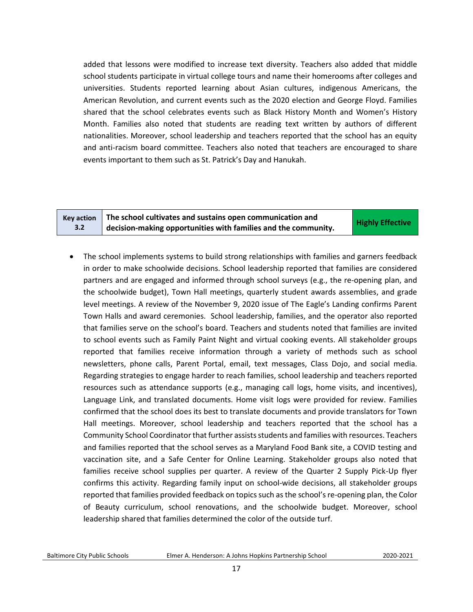added that lessons were modified to increase text diversity. Teachers also added that middle school students participate in virtual college tours and name their homerooms after colleges and universities. Students reported learning about Asian cultures, indigenous Americans, the American Revolution, and current events such as the 2020 election and George Floyd. Families shared that the school celebrates events such as Black History Month and Women's History Month. Families also noted that students are reading text written by authors of different nationalities. Moreover, school leadership and teachers reported that the school has an equity and anti-racism board committee. Teachers also noted that teachers are encouraged to share events important to them such as St. Patrick's Day and Hanukah.

**Key action 3.2**

**The school cultivates and sustains open communication and decision-making opportunities with families and the community. Highly Effective** 

• The school implements systems to build strong relationships with families and garners feedback in order to make schoolwide decisions. School leadership reported that families are considered partners and are engaged and informed through school surveys (e.g., the re-opening plan, and the schoolwide budget), Town Hall meetings, quarterly student awards assemblies, and grade level meetings. A review of the November 9, 2020 issue of The Eagle's Landing confirms Parent Town Halls and award ceremonies. School leadership, families, and the operator also reported that families serve on the school's board. Teachers and students noted that families are invited to school events such as Family Paint Night and virtual cooking events. All stakeholder groups reported that families receive information through a variety of methods such as school newsletters, phone calls, Parent Portal, email, text messages, Class Dojo, and social media. Regarding strategies to engage harder to reach families, school leadership and teachers reported resources such as attendance supports (e.g., managing call logs, home visits, and incentives), Language Link, and translated documents. Home visit logs were provided for review. Families confirmed that the school does its best to translate documents and provide translators for Town Hall meetings. Moreover, school leadership and teachers reported that the school has a Community School Coordinator that further assistsstudents and families with resources. Teachers and families reported that the school serves as a Maryland Food Bank site, a COVID testing and vaccination site, and a Safe Center for Online Learning. Stakeholder groups also noted that families receive school supplies per quarter. A review of the Quarter 2 Supply Pick-Up flyer confirms this activity. Regarding family input on school-wide decisions, all stakeholder groups reported that families provided feedback on topics such as the school's re-opening plan, the Color of Beauty curriculum, school renovations, and the schoolwide budget. Moreover, school leadership shared that families determined the color of the outside turf.

Baltimore City Public Schools Elmer A. Henderson: A Johns Hopkins Partnership School2020-2021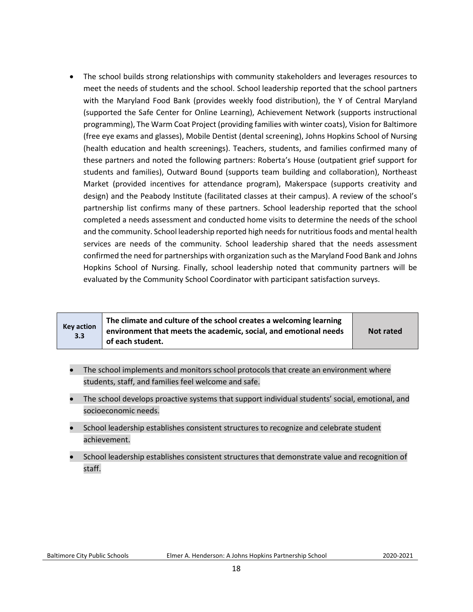• The school builds strong relationships with community stakeholders and leverages resources to meet the needs of students and the school. School leadership reported that the school partners with the Maryland Food Bank (provides weekly food distribution), the Y of Central Maryland (supported the Safe Center for Online Learning), Achievement Network (supports instructional programming), The Warm Coat Project (providing families with winter coats), Vision for Baltimore (free eye exams and glasses), Mobile Dentist (dental screening), Johns Hopkins School of Nursing (health education and health screenings). Teachers, students, and families confirmed many of these partners and noted the following partners: Roberta's House (outpatient grief support for students and families), Outward Bound (supports team building and collaboration), Northeast Market (provided incentives for attendance program), Makerspace (supports creativity and design) and the Peabody Institute (facilitated classes at their campus). A review of the school's partnership list confirms many of these partners. School leadership reported that the school completed a needs assessment and conducted home visits to determine the needs of the school and the community. School leadership reported high needs for nutritious foods and mental health services are needs of the community. School leadership shared that the needs assessment confirmed the need for partnerships with organization such as the Maryland Food Bank and Johns Hopkins School of Nursing. Finally, school leadership noted that community partners will be evaluated by the Community School Coordinator with participant satisfaction surveys.

| <b>Key action</b><br>3.3 | The climate and culture of the school creates a welcoming learning<br>environment that meets the academic, social, and emotional needs<br>of each student. | <b>Not rated</b> |
|--------------------------|------------------------------------------------------------------------------------------------------------------------------------------------------------|------------------|
|--------------------------|------------------------------------------------------------------------------------------------------------------------------------------------------------|------------------|

- The school implements and monitors school protocols that create an environment where students, staff, and families feel welcome and safe.
- The school develops proactive systems that support individual students' social, emotional, and socioeconomic needs.
- School leadership establishes consistent structures to recognize and celebrate student achievement.
- School leadership establishes consistent structures that demonstrate value and recognition of staff.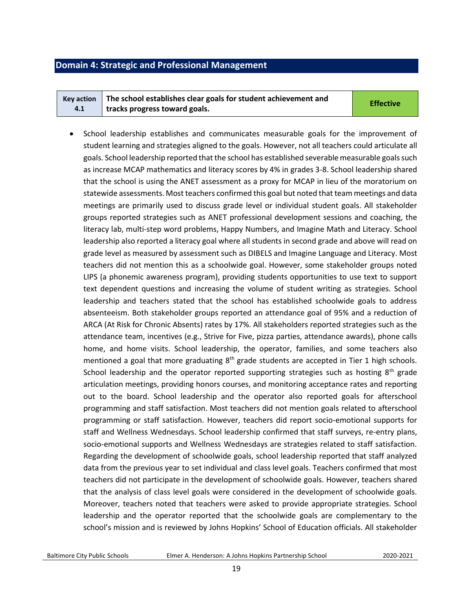### <span id="page-18-0"></span>**Domain 4: Strategic and Professional Management**

| <b>Kev action</b> | The school establishes clear goals for student achievement and | <b>Effective</b> |
|-------------------|----------------------------------------------------------------|------------------|
| 4.1               | tracks progress toward goals.                                  |                  |

• School leadership establishes and communicates measurable goals for the improvement of student learning and strategies aligned to the goals. However, not all teachers could articulate all goals. School leadership reported that the school has established severable measurable goals such as increase MCAP mathematics and literacy scores by 4% in grades 3-8. School leadership shared that the school is using the ANET assessment as a proxy for MCAP in lieu of the moratorium on statewide assessments. Most teachers confirmed this goal but noted that team meetings and data meetings are primarily used to discuss grade level or individual student goals. All stakeholder groups reported strategies such as ANET professional development sessions and coaching, the literacy lab, multi-step word problems, Happy Numbers, and Imagine Math and Literacy. School leadership also reported a literacy goal where all students in second grade and above will read on grade level as measured by assessment such as DIBELS and Imagine Language and Literacy. Most teachers did not mention this as a schoolwide goal. However, some stakeholder groups noted LIPS (a phonemic awareness program), providing students opportunities to use text to support text dependent questions and increasing the volume of student writing as strategies. School leadership and teachers stated that the school has established schoolwide goals to address absenteeism. Both stakeholder groups reported an attendance goal of 95% and a reduction of ARCA (At Risk for Chronic Absents) rates by 17%. All stakeholders reported strategies such as the attendance team, incentives (e.g., Strive for Five, pizza parties, attendance awards), phone calls home, and home visits. School leadership, the operator, families, and some teachers also mentioned a goal that more graduating  $8<sup>th</sup>$  grade students are accepted in Tier 1 high schools. School leadership and the operator reported supporting strategies such as hosting  $8<sup>th</sup>$  grade articulation meetings, providing honors courses, and monitoring acceptance rates and reporting out to the board. School leadership and the operator also reported goals for afterschool programming and staff satisfaction. Most teachers did not mention goals related to afterschool programming or staff satisfaction. However, teachers did report socio-emotional supports for staff and Wellness Wednesdays. School leadership confirmed that staff surveys, re-entry plans, socio-emotional supports and Wellness Wednesdays are strategies related to staff satisfaction. Regarding the development of schoolwide goals, school leadership reported that staff analyzed data from the previous year to set individual and class level goals. Teachers confirmed that most teachers did not participate in the development of schoolwide goals. However, teachers shared that the analysis of class level goals were considered in the development of schoolwide goals. Moreover, teachers noted that teachers were asked to provide appropriate strategies. School leadership and the operator reported that the schoolwide goals are complementary to the school's mission and is reviewed by Johns Hopkins' School of Education officials. All stakeholder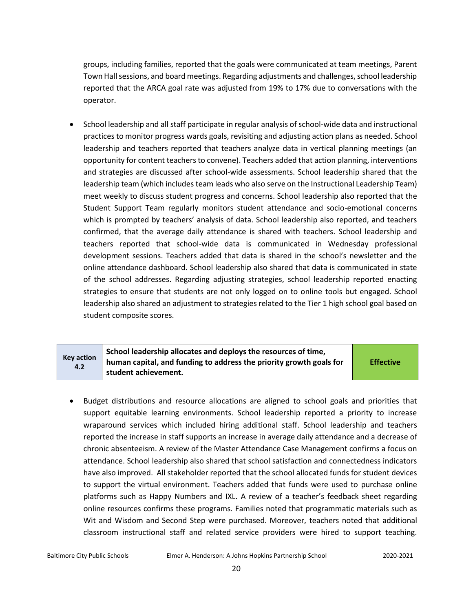groups, including families, reported that the goals were communicated at team meetings, Parent Town Hall sessions, and board meetings. Regarding adjustments and challenges, school leadership reported that the ARCA goal rate was adjusted from 19% to 17% due to conversations with the operator.

• School leadership and all staff participate in regular analysis of school-wide data and instructional practices to monitor progress wards goals, revisiting and adjusting action plans as needed. School leadership and teachers reported that teachers analyze data in vertical planning meetings (an opportunity for content teachers to convene). Teachers added that action planning, interventions and strategies are discussed after school-wide assessments. School leadership shared that the leadership team (which includes team leads who also serve on the Instructional Leadership Team) meet weekly to discuss student progress and concerns. School leadership also reported that the Student Support Team regularly monitors student attendance and socio-emotional concerns which is prompted by teachers' analysis of data. School leadership also reported, and teachers confirmed, that the average daily attendance is shared with teachers. School leadership and teachers reported that school-wide data is communicated in Wednesday professional development sessions. Teachers added that data is shared in the school's newsletter and the online attendance dashboard. School leadership also shared that data is communicated in state of the school addresses. Regarding adjusting strategies, school leadership reported enacting strategies to ensure that students are not only logged on to online tools but engaged. School leadership also shared an adjustment to strategies related to the Tier 1 high school goal based on student composite scores.

| <b>Key action</b><br>4.2 | School leadership allocates and deploys the resources of time,<br>human capital, and funding to address the priority growth goals for<br>student achievement. | <b>Effective</b> |
|--------------------------|---------------------------------------------------------------------------------------------------------------------------------------------------------------|------------------|
|--------------------------|---------------------------------------------------------------------------------------------------------------------------------------------------------------|------------------|

• Budget distributions and resource allocations are aligned to school goals and priorities that support equitable learning environments. School leadership reported a priority to increase wraparound services which included hiring additional staff. School leadership and teachers reported the increase in staff supports an increase in average daily attendance and a decrease of chronic absenteeism. A review of the Master Attendance Case Management confirms a focus on attendance. School leadership also shared that school satisfaction and connectedness indicators have also improved. All stakeholder reported that the school allocated funds for student devices to support the virtual environment. Teachers added that funds were used to purchase online platforms such as Happy Numbers and IXL. A review of a teacher's feedback sheet regarding online resources confirms these programs. Families noted that programmatic materials such as Wit and Wisdom and Second Step were purchased. Moreover, teachers noted that additional classroom instructional staff and related service providers were hired to support teaching.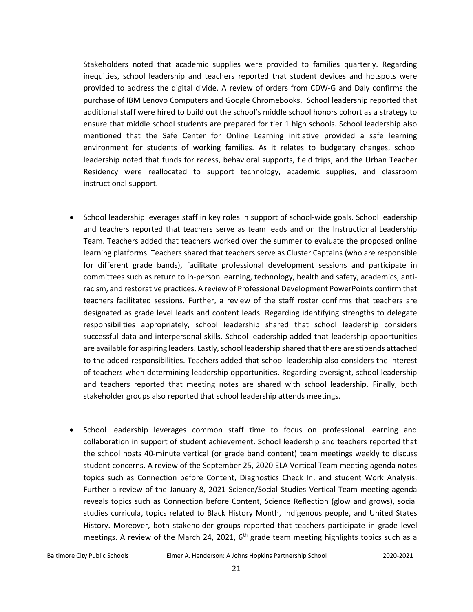Stakeholders noted that academic supplies were provided to families quarterly. Regarding inequities, school leadership and teachers reported that student devices and hotspots were provided to address the digital divide. A review of orders from CDW-G and Daly confirms the purchase of IBM Lenovo Computers and Google Chromebooks. School leadership reported that additional staff were hired to build out the school's middle school honors cohort as a strategy to ensure that middle school students are prepared for tier 1 high schools. School leadership also mentioned that the Safe Center for Online Learning initiative provided a safe learning environment for students of working families. As it relates to budgetary changes, school leadership noted that funds for recess, behavioral supports, field trips, and the Urban Teacher Residency were reallocated to support technology, academic supplies, and classroom instructional support.

- School leadership leverages staff in key roles in support of school-wide goals. School leadership and teachers reported that teachers serve as team leads and on the Instructional Leadership Team. Teachers added that teachers worked over the summer to evaluate the proposed online learning platforms. Teachers shared that teachers serve as Cluster Captains (who are responsible for different grade bands), facilitate professional development sessions and participate in committees such as return to in-person learning, technology, health and safety, academics, antiracism, and restorative practices. A review of Professional Development PowerPoints confirm that teachers facilitated sessions. Further, a review of the staff roster confirms that teachers are designated as grade level leads and content leads. Regarding identifying strengths to delegate responsibilities appropriately, school leadership shared that school leadership considers successful data and interpersonal skills. School leadership added that leadership opportunities are available for aspiring leaders. Lastly, school leadership shared that there are stipends attached to the added responsibilities. Teachers added that school leadership also considers the interest of teachers when determining leadership opportunities. Regarding oversight, school leadership and teachers reported that meeting notes are shared with school leadership. Finally, both stakeholder groups also reported that school leadership attends meetings.
- School leadership leverages common staff time to focus on professional learning and collaboration in support of student achievement. School leadership and teachers reported that the school hosts 40-minute vertical (or grade band content) team meetings weekly to discuss student concerns. A review of the September 25, 2020 ELA Vertical Team meeting agenda notes topics such as Connection before Content, Diagnostics Check In, and student Work Analysis. Further a review of the January 8, 2021 Science/Social Studies Vertical Team meeting agenda reveals topics such as Connection before Content, Science Reflection (glow and grows), social studies curricula, topics related to Black History Month, Indigenous people, and United States History. Moreover, both stakeholder groups reported that teachers participate in grade level meetings. A review of the March 24, 2021,  $6<sup>th</sup>$  grade team meeting highlights topics such as a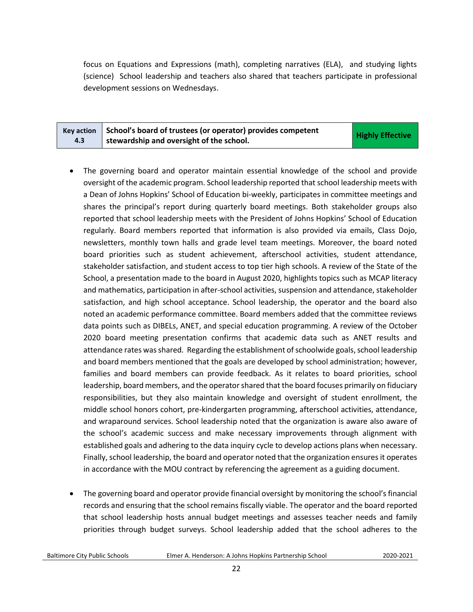focus on Equations and Expressions (math), completing narratives (ELA), and studying lights (science) School leadership and teachers also shared that teachers participate in professional development sessions on Wednesdays.

|     | $\kappa$ Key action School's board of trustees (or operator) provides competent | <b>Highly Effective</b> |
|-----|---------------------------------------------------------------------------------|-------------------------|
| 4.3 | stewardship and oversight of the school.                                        |                         |

- The governing board and operator maintain essential knowledge of the school and provide oversight of the academic program. School leadership reported that school leadership meets with a Dean of Johns Hopkins' School of Education bi-weekly, participates in committee meetings and shares the principal's report during quarterly board meetings. Both stakeholder groups also reported that school leadership meets with the President of Johns Hopkins' School of Education regularly. Board members reported that information is also provided via emails, Class Dojo, newsletters, monthly town halls and grade level team meetings. Moreover, the board noted board priorities such as student achievement, afterschool activities, student attendance, stakeholder satisfaction, and student access to top tier high schools. A review of the State of the School, a presentation made to the board in August 2020, highlights topics such as MCAP literacy and mathematics, participation in after-school activities, suspension and attendance, stakeholder satisfaction, and high school acceptance. School leadership, the operator and the board also noted an academic performance committee. Board members added that the committee reviews data points such as DIBELs, ANET, and special education programming. A review of the October 2020 board meeting presentation confirms that academic data such as ANET results and attendance rates was shared. Regarding the establishment of schoolwide goals, school leadership and board members mentioned that the goals are developed by school administration; however, families and board members can provide feedback. As it relates to board priorities, school leadership, board members, and the operator shared that the board focuses primarily on fiduciary responsibilities, but they also maintain knowledge and oversight of student enrollment, the middle school honors cohort, pre-kindergarten programming, afterschool activities, attendance, and wraparound services. School leadership noted that the organization is aware also aware of the school's academic success and make necessary improvements through alignment with established goals and adhering to the data inquiry cycle to develop actions plans when necessary. Finally, school leadership, the board and operator noted that the organization ensures it operates in accordance with the MOU contract by referencing the agreement as a guiding document.
- The governing board and operator provide financial oversight by monitoring the school's financial records and ensuring that the school remains fiscally viable. The operator and the board reported that school leadership hosts annual budget meetings and assesses teacher needs and family priorities through budget surveys. School leadership added that the school adheres to the

Baltimore City Public Schools Elmer A. Henderson: A Johns Hopkins Partnership School2020-2021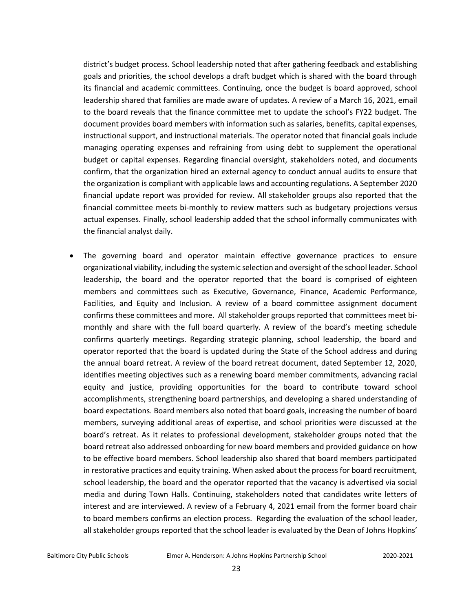district's budget process. School leadership noted that after gathering feedback and establishing goals and priorities, the school develops a draft budget which is shared with the board through its financial and academic committees. Continuing, once the budget is board approved, school leadership shared that families are made aware of updates. A review of a March 16, 2021, email to the board reveals that the finance committee met to update the school's FY22 budget. The document provides board members with information such as salaries, benefits, capital expenses, instructional support, and instructional materials. The operator noted that financial goals include managing operating expenses and refraining from using debt to supplement the operational budget or capital expenses. Regarding financial oversight, stakeholders noted, and documents confirm, that the organization hired an external agency to conduct annual audits to ensure that the organization is compliant with applicable laws and accounting regulations. A September 2020 financial update report was provided for review. All stakeholder groups also reported that the financial committee meets bi-monthly to review matters such as budgetary projections versus actual expenses. Finally, school leadership added that the school informally communicates with the financial analyst daily.

• The governing board and operator maintain effective governance practices to ensure organizational viability, including the systemic selection and oversight of the school leader. School leadership, the board and the operator reported that the board is comprised of eighteen members and committees such as Executive, Governance, Finance, Academic Performance, Facilities, and Equity and Inclusion. A review of a board committee assignment document confirms these committees and more. All stakeholder groups reported that committees meet bimonthly and share with the full board quarterly. A review of the board's meeting schedule confirms quarterly meetings. Regarding strategic planning, school leadership, the board and operator reported that the board is updated during the State of the School address and during the annual board retreat. A review of the board retreat document, dated September 12, 2020, identifies meeting objectives such as a renewing board member commitments, advancing racial equity and justice, providing opportunities for the board to contribute toward school accomplishments, strengthening board partnerships, and developing a shared understanding of board expectations. Board members also noted that board goals, increasing the number of board members, surveying additional areas of expertise, and school priorities were discussed at the board's retreat. As it relates to professional development, stakeholder groups noted that the board retreat also addressed onboarding for new board members and provided guidance on how to be effective board members. School leadership also shared that board members participated in restorative practices and equity training. When asked about the process for board recruitment, school leadership, the board and the operator reported that the vacancy is advertised via social media and during Town Halls. Continuing, stakeholders noted that candidates write letters of interest and are interviewed. A review of a February 4, 2021 email from the former board chair to board members confirms an election process. Regarding the evaluation of the school leader, all stakeholder groups reported that the school leader is evaluated by the Dean of Johns Hopkins'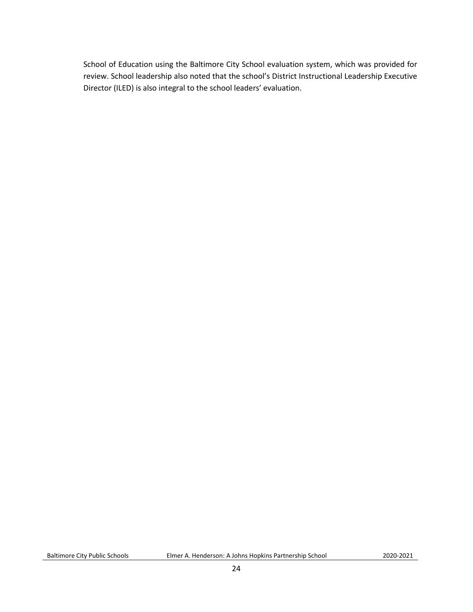<span id="page-23-0"></span>School of Education using the Baltimore City School evaluation system, which was provided for review. School leadership also noted that the school's District Instructional Leadership Executive Director (ILED) is also integral to the school leaders' evaluation.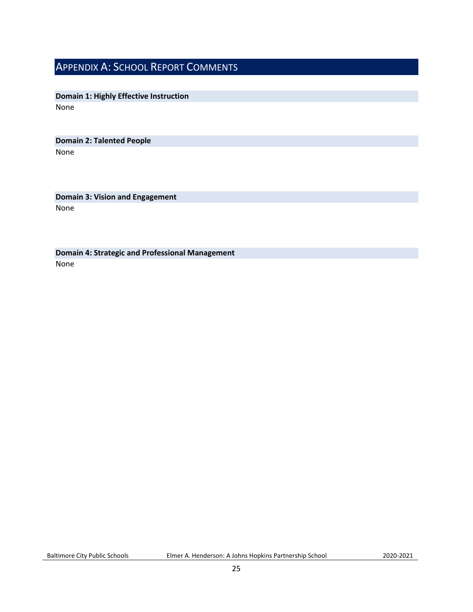## APPENDIX A: SCHOOL REPORT COMMENTS

**Domain 1: Highly Effective Instruction** None

**Domain 2: Talented People** None

**Domain 3: Vision and Engagement** None

**Domain 4: Strategic and Professional Management** None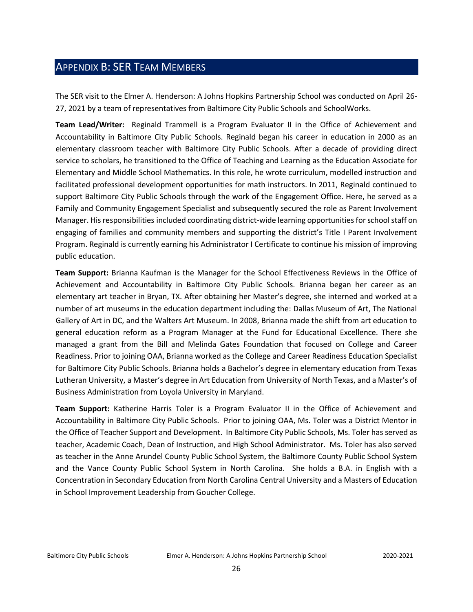## <span id="page-25-0"></span>APPENDIX B: SER TEAM MEMBERS

The SER visit to the Elmer A. Henderson: A Johns Hopkins Partnership School was conducted on April 26- 27, 2021 by a team of representatives from Baltimore City Public Schools and SchoolWorks.

**Team Lead/Writer:** Reginald Trammell is a Program Evaluator II in the Office of Achievement and Accountability in Baltimore City Public Schools. Reginald began his career in education in 2000 as an elementary classroom teacher with Baltimore City Public Schools. After a decade of providing direct service to scholars, he transitioned to the Office of Teaching and Learning as the Education Associate for Elementary and Middle School Mathematics. In this role, he wrote curriculum, modelled instruction and facilitated professional development opportunities for math instructors. In 2011, Reginald continued to support Baltimore City Public Schools through the work of the Engagement Office. Here, he served as a Family and Community Engagement Specialist and subsequently secured the role as Parent Involvement Manager. His responsibilities included coordinating district-wide learning opportunities for school staff on engaging of families and community members and supporting the district's Title I Parent Involvement Program. Reginald is currently earning his Administrator I Certificate to continue his mission of improving public education.

**Team Support:** Brianna Kaufman is the Manager for the School Effectiveness Reviews in the Office of Achievement and Accountability in Baltimore City Public Schools. Brianna began her career as an elementary art teacher in Bryan, TX. After obtaining her Master's degree, she interned and worked at a number of art museums in the education department including the: Dallas Museum of Art, The National Gallery of Art in DC, and the Walters Art Museum. In 2008, Brianna made the shift from art education to general education reform as a Program Manager at the Fund for Educational Excellence. There she managed a grant from the Bill and Melinda Gates Foundation that focused on College and Career Readiness. Prior to joining OAA, Brianna worked as the College and Career Readiness Education Specialist for Baltimore City Public Schools. Brianna holds a Bachelor's degree in elementary education from Texas Lutheran University, a Master's degree in Art Education from University of North Texas, and a Master's of Business Administration from Loyola University in Maryland.

**Team Support:** Katherine Harris Toler is a Program Evaluator II in the Office of Achievement and Accountability in Baltimore City Public Schools. Prior to joining OAA, Ms. Toler was a District Mentor in the Office of Teacher Support and Development. In Baltimore City Public Schools, Ms. Toler has served as teacher, Academic Coach, Dean of Instruction, and High School Administrator. Ms. Toler has also served as teacher in the Anne Arundel County Public School System, the Baltimore County Public School System and the Vance County Public School System in North Carolina. She holds a B.A. in English with a Concentration in Secondary Education from North Carolina Central University and a Masters of Education in School Improvement Leadership from Goucher College.